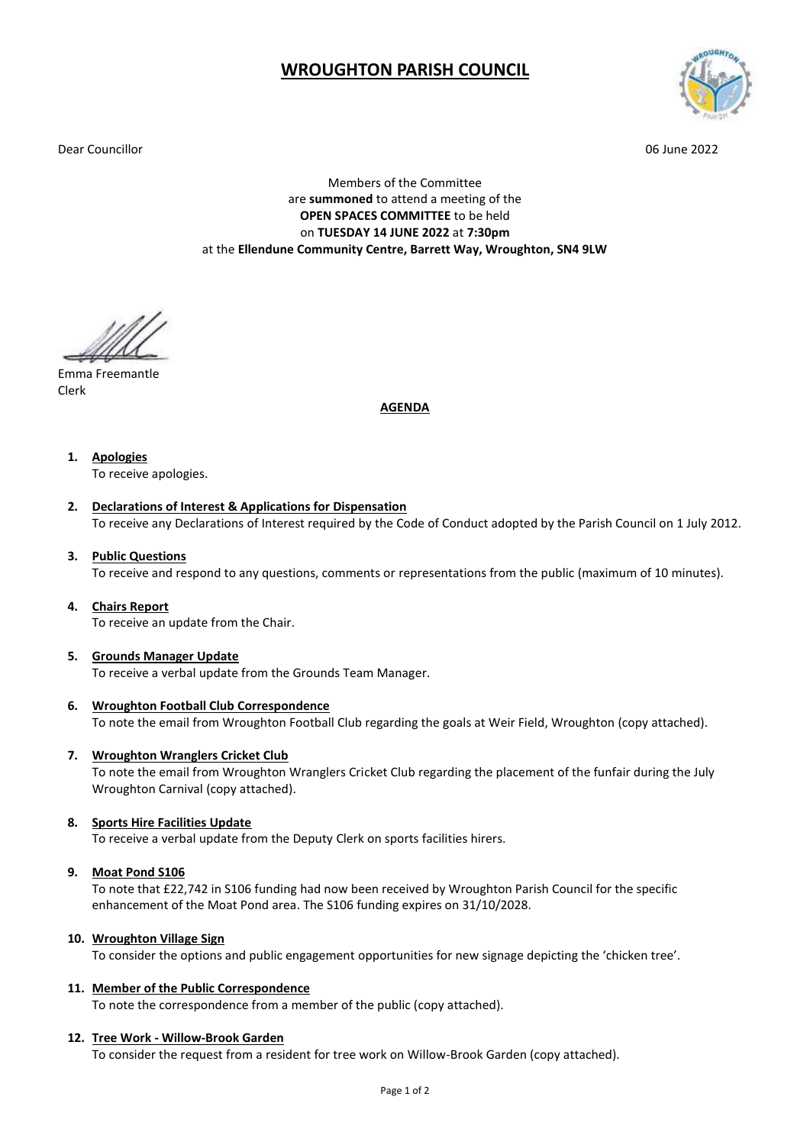# **WROUGHTON PARISH COUNCIL**

Dear Councillor 06 June 2022



Members of the Committee are **summoned** to attend a meeting of the **OPEN SPACES COMMITTEE** to be held on **TUESDAY 14 JUNE 2022** at **7:30pm** at the **Ellendune Community Centre, Barrett Way, Wroughton, SN4 9LW**

Emma Freemantle Clerk

### **AGENDA**

**1. Apologies**

To receive apologies.

## **2. Declarations of Interest & Applications for Dispensation**

To receive any Declarations of Interest required by the Code of Conduct adopted by the Parish Council on 1 July 2012.

### **3. Public Questions**

To receive and respond to any questions, comments or representations from the public (maximum of 10 minutes).

#### **4. Chairs Report**

To receive an update from the Chair.

#### **5. Grounds Manager Update**

To receive a verbal update from the Grounds Team Manager.

# **6. Wroughton Football Club Correspondence**

To note the email from Wroughton Football Club regarding the goals at Weir Field, Wroughton (copy attached).

# **7. Wroughton Wranglers Cricket Club**

To note the email from Wroughton Wranglers Cricket Club regarding the placement of the funfair during the July Wroughton Carnival (copy attached).

# **8. Sports Hire Facilities Update**

To receive a verbal update from the Deputy Clerk on sports facilities hirers.

#### **9. Moat Pond S106**

To note that £22,742 in S106 funding had now been received by Wroughton Parish Council for the specific enhancement of the Moat Pond area. The S106 funding expires on 31/10/2028.

#### **10. Wroughton Village Sign**

To consider the options and public engagement opportunities for new signage depicting the 'chicken tree'.

# **11. Member of the Public Correspondence**

To note the correspondence from a member of the public (copy attached).

#### **12. Tree Work - Willow-Brook Garden**

To consider the request from a resident for tree work on Willow-Brook Garden (copy attached).